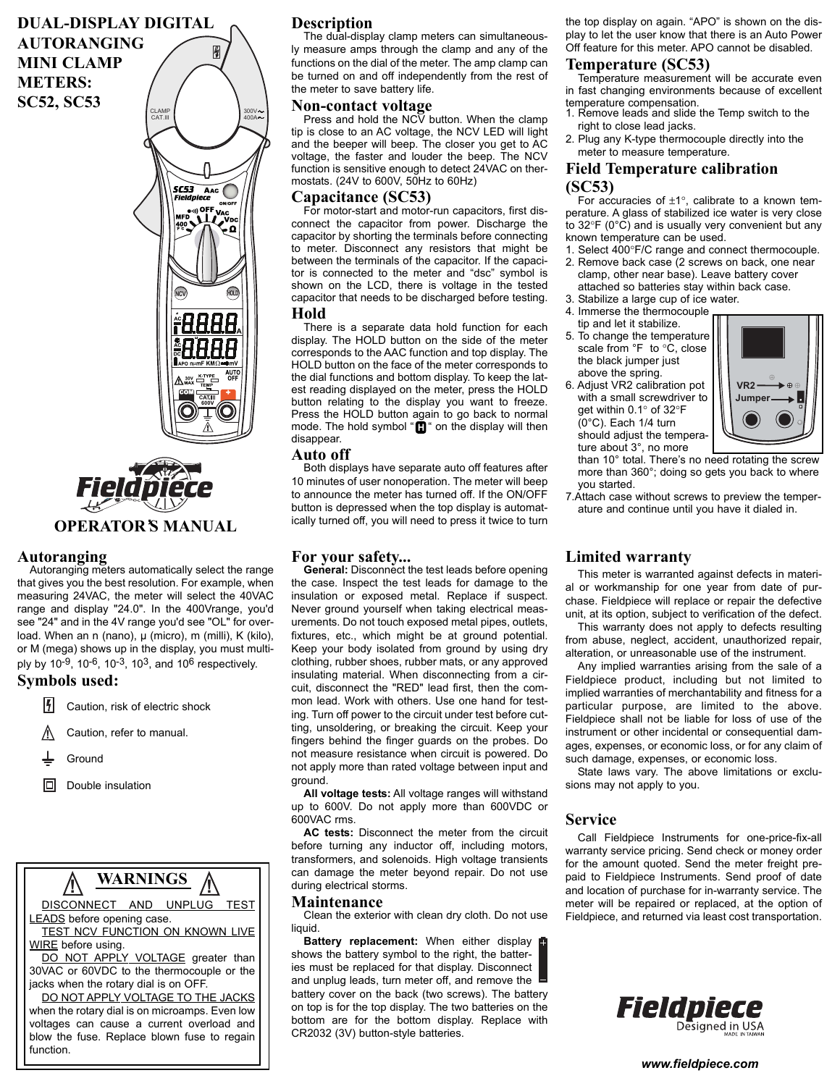# **DUAL-DISPLAY DIGITAL**

**AUTORANGING MINI CLAMP METERS: SC52, SC53**





### **Autoranging**

Autoranging meters automatically select the range that gives you the best resolution. For example, when measuring 24VAC, the meter will select the 40VAC range and display "24.0". In the 400Vrange, you'd see "24" and in the 4V range you'd see "OL" for overload. When an n (nano), μ (micro), m (milli), K (kilo), or M (mega) shows up in the display, you must multiply by 10-9, 10-6, 10-3, 103, and 10<sup>6</sup> respectively.

### **Symbols used:**

- 17 Caution, risk of electric shock
- Caution, refer to manual. **!**
- Ground
- Double insulation



### **Description**

The dual-display clamp meters can simultaneously measure amps through the clamp and any of the functions on the dial of the meter. The amp clamp can be turned on and off independently from the rest of the meter to save battery life.

#### **Non-contact voltage**

Press and hold the NCV button. When the clamp tip is close to an AC voltage, the NCV LED will light and the beeper will beep. The closer you get to AC voltage, the faster and louder the beep. The NCV function is sensitive enough to detect 24VAC on thermostats. (24V to 600V, 50Hz to 60Hz)

#### **Capacitance (SC53)**

For motor-start and motor-run capacitors, first disconnect the capacitor from power. Discharge the capacitor by shorting the terminals before connecting to meter. Disconnect any resistors that might be between the terminals of the capacitor. If the capacitor is connected to the meter and "dsc" symbol is shown on the LCD, there is voltage in the tested capacitor that needs to be discharged before testing.

#### **Hold**

There is a separate data hold function for each display. The HOLD button on the side of the meter corresponds to the AAC function and top display. The HOLD button on the face of the meter corresponds to the dial functions and bottom display. To keep the latest reading displayed on the meter, press the HOLD button relating to the display you want to freeze. Press the HOLD button again to go back to normal mode. The hold symbol "**[i]**" on the display will then disappear.

#### **Auto off**

Both displays have separate auto off features after 10 minutes of user nonoperation. The meter will beep to announce the meter has turned off. If the ON/OFF button is depressed when the top display is automatically turned off, you will need to press it twice to turn

#### **For your safety...**

General: Disconnect the test leads before opening the case. Inspect the test leads for damage to the insulation or exposed metal. Replace if suspect. Never ground yourself when taking electrical measurements. Do not touch exposed metal pipes, outlets, fixtures, etc., which might be at ground potential. Keep your body isolated from ground by using dry clothing, rubber shoes, rubber mats, or any approved insulating material. When disconnecting from a circuit, disconnect the "RED" lead first, then the common lead. Work with others. Use one hand for testing. Turn off power to the circuit under test before cutting, unsoldering, or breaking the circuit. Keep your fingers behind the finger guards on the probes. Do not measure resistance when circuit is powered. Do not apply more than rated voltage between input and ground.

**All voltage tests:** All voltage ranges will withstand up to 600V. Do not apply more than 600VDC or 600VAC rms.

**AC tests:** Disconnect the meter from the circuit before turning any inductor off, including motors, transformers, and solenoids. High voltage transients can damage the meter beyond repair. Do not use during electrical storms.

#### **Maintenance**

Clean the exterior with clean dry cloth. Do not use liquid.

**Battery replacement:** When either display shows the battery symbol to the right, the batteries must be replaced for that display. Disconnect and unplug leads, turn meter off, and remove the battery cover on the back (two screws). The battery on top is for the top display. The two batteries on the bottom are for the bottom display. Replace with CR2032 (3V) button-style batteries.

the top display on again. "APO" is shown on the display to let the user know that there is an Auto Power Off feature for this meter. APO cannot be disabled.

#### **Temperature (SC53)**

- Temperature measurement will be accurate even in fast changing environments because of excellent temperature compensation. 1. Remove leads and slide the Temp switch to the
- right to close lead jacks.
- 2. Plug any K-type thermocouple directly into the meter to measure temperature.

### **Field Temperature calibration (SC53)**

For accuracies of  $\pm 1^{\circ}$ , calibrate to a known temperature. A glass of stabilized ice water is very close to 32°F (0°C) and is usually very convenient but any known temperature can be used.

- 1. Select 400°F/C range and connect thermocouple. 2. Remove back case (2 screws on back, one near clamp, other near base). Leave battery cover
- attached so batteries stay within back case. 3. Stabilize a large cup of ice water.
- 4. Immerse the thermocouple
- tip and let it stabilize. 5. To change the temperature scale from °F to °C, close
- the black jumper just above the spring.
- 6. Adjust VR2 calibration pot with a small screwdriver to get within 0.1° of 32°F (0°C). Each 1/4 turn should adjust the temperature about 3°, no more



than 10° total. There's no need rotating the screw more than 360°; doing so gets you back to where you started.

7.Attach case without screws to preview the temperature and continue until you have it dialed in.

### **Limited warranty**

This meter is warranted against defects in material or workmanship for one year from date of purchase. Fieldpiece will replace or repair the defective unit, at its option, subject to verification of the defect.

This warranty does not apply to defects resulting from abuse, neglect, accident, unauthorized repair, alteration, or unreasonable use of the instrument.

Any implied warranties arising from the sale of a Fieldpiece product, including but not limited to implied warranties of merchantability and fitness for a particular purpose, are limited to the above. Fieldpiece shall not be liable for loss of use of the instrument or other incidental or consequential damages, expenses, or economic loss, or for any claim of such damage, expenses, or economic loss.

State laws vary. The above limitations or exclusions may not apply to you.

#### **Service**

Call Fieldpiece Instruments for one-price-fix-all warranty service pricing. Send check or money order for the amount quoted. Send the meter freight prepaid to Fieldpiece Instruments. Send proof of date and location of purchase for in-warranty service. The meter will be repaired or replaced, at the option of Fieldpiece, and returned via least cost transportation.